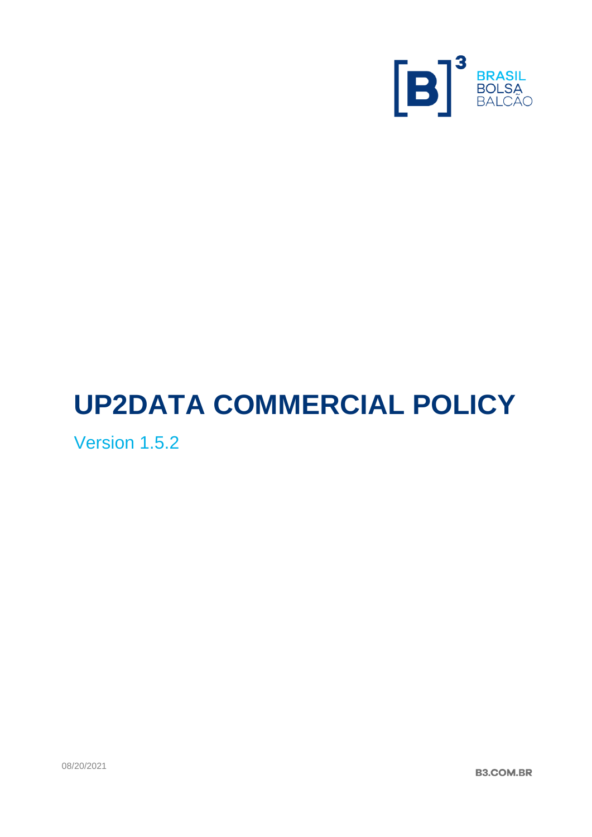

# **UP2DATA COMMERCIAL POLICY**

Version 1.5.2

08/20/2021

**B3.COM.BR**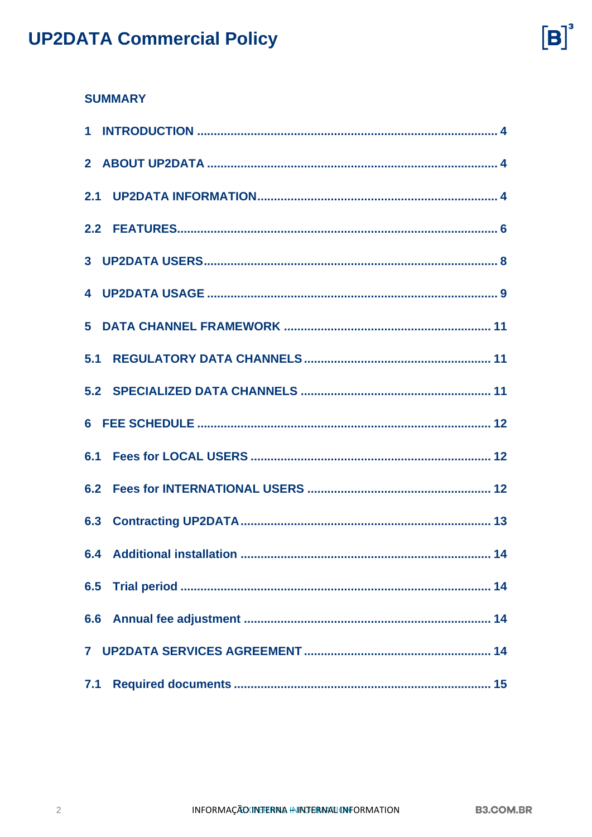

### **SUMMARY**

| 4 |
|---|
| 5 |
|   |
|   |
|   |
|   |
|   |
|   |
|   |
|   |
|   |
|   |
|   |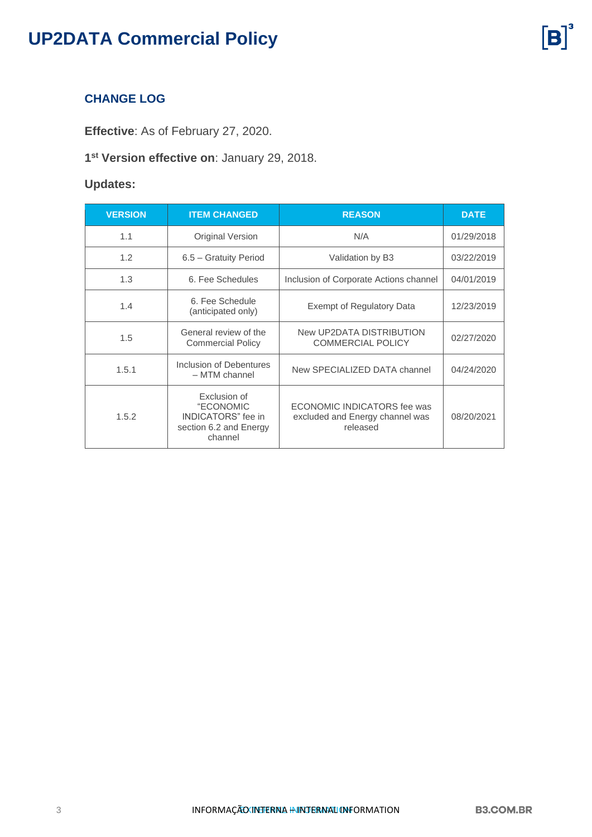### **CHANGE LOG**

**Effective**: As of February 27, 2020.

#### **1 st Version effective on**: January 29, 2018.

### **Updates:**

| <b>VERSION</b> | <b>ITEM CHANGED</b>                                                                  | <b>REASON</b>                                                              | <b>DATE</b> |
|----------------|--------------------------------------------------------------------------------------|----------------------------------------------------------------------------|-------------|
| 1.1            | Original Version                                                                     | N/A                                                                        | 01/29/2018  |
| 1.2            | 6.5 - Gratuity Period                                                                | Validation by B3                                                           | 03/22/2019  |
| 1.3            | 6. Fee Schedules                                                                     | Inclusion of Corporate Actions channel                                     | 04/01/2019  |
| 1.4            | 6. Fee Schedule<br>(anticipated only)                                                | Exempt of Regulatory Data                                                  | 12/23/2019  |
| 1.5            | General review of the<br><b>Commercial Policy</b>                                    | New UP2DATA DISTRIBUTION<br><b>COMMERCIAL POLICY</b>                       | 02/27/2020  |
| 1.5.1          | Inclusion of Debentures<br>- MTM channel                                             | New SPECIALIZED DATA channel                                               | 04/24/2020  |
| 1.5.2          | Exclusion of<br>"ECONOMIC<br>INDICATORS" fee in<br>section 6.2 and Energy<br>channel | ECONOMIC INDICATORS fee was<br>excluded and Energy channel was<br>released | 08/20/2021  |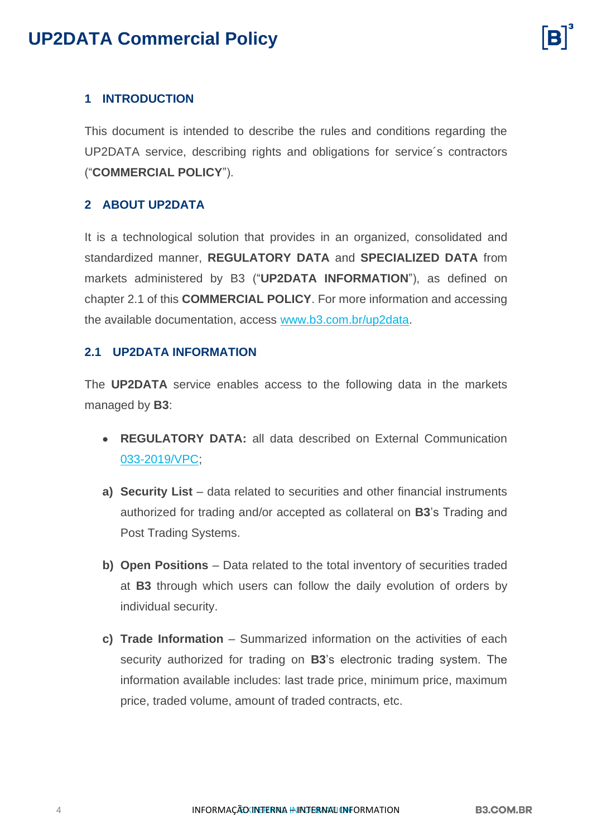

### <span id="page-3-0"></span>**1 INTRODUCTION**

This document is intended to describe the rules and conditions regarding the UP2DATA service, describing rights and obligations for service´s contractors ("**COMMERCIAL POLICY**").

### <span id="page-3-1"></span>**2 ABOUT UP2DATA**

It is a technological solution that provides in an organized, consolidated and standardized manner, **REGULATORY DATA** and **SPECIALIZED DATA** from markets administered by B3 ("**UP2DATA INFORMATION**"), as defined on chapter 2.1 of this **COMMERCIAL POLICY**. For more information and accessing the available documentation, access [www.b3.com.br/up2data.](http://www.b3.com.br/up2data)

#### <span id="page-3-2"></span>**2.1 UP2DATA INFORMATION**

The **UP2DATA** service enables access to the following data in the markets managed by **B3**:

- **REGULATORY DATA:** all data described on External Communication [033-2019/VPC;](http://www.b3.com.br/data/files/12/80/70/BE/46CCE610A9724BE6AC094EA8/EC%20033-2019-VPC-%20Comunicado%20externo%20-%20altera%C3%A7%C3%B5es%20na%20divulga%C3%A7%C3%A3o%20dos%20dados%20-%2020set2019%20-%20v5.pdf)
- **a) Security List** data related to securities and other financial instruments authorized for trading and/or accepted as collateral on **B3**'s Trading and Post Trading Systems.
- **b) Open Positions** Data related to the total inventory of securities traded at **B3** through which users can follow the daily evolution of orders by individual security.
- **c) Trade Information** Summarized information on the activities of each security authorized for trading on **B3**'s electronic trading system. The information available includes: last trade price, minimum price, maximum price, traded volume, amount of traded contracts, etc.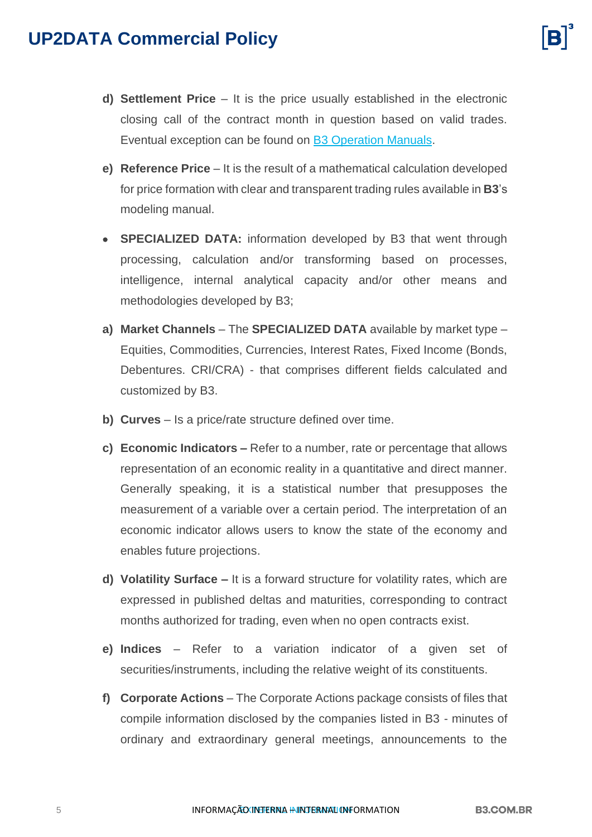- **d) Settlement Price** It is the price usually established in the electronic closing call of the contract month in question based on valid trades. Eventual exception can be found on [B3 Operation Manuals.](http://www.b3.com.br/en_us/regulation/regulatory-framework/operating-manuals/)
- **e) Reference Price** It is the result of a mathematical calculation developed for price formation with clear and transparent trading rules available in **B3**'s modeling manual.
- **SPECIALIZED DATA:** information developed by B3 that went through processing, calculation and/or transforming based on processes, intelligence, internal analytical capacity and/or other means and methodologies developed by B3;
- **a) Market Channels** The **SPECIALIZED DATA** available by market type Equities, Commodities, Currencies, Interest Rates, Fixed Income (Bonds, Debentures. CRI/CRA) - that comprises different fields calculated and customized by B3.
- **b) Curves** Is a price/rate structure defined over time.
- **c) Economic Indicators –** Refer to a number, rate or percentage that allows representation of an economic reality in a quantitative and direct manner. Generally speaking, it is a statistical number that presupposes the measurement of a variable over a certain period. The interpretation of an economic indicator allows users to know the state of the economy and enables future projections.
- **d) Volatility Surface –** It is a forward structure for volatility rates, which are expressed in published deltas and maturities, corresponding to contract months authorized for trading, even when no open contracts exist.
- **e) Indices**  Refer to a variation indicator of a given set of securities/instruments, including the relative weight of its constituents.
- **f) Corporate Actions**  The Corporate Actions package consists of files that compile information disclosed by the companies listed in B3 - minutes of ordinary and extraordinary general meetings, announcements to the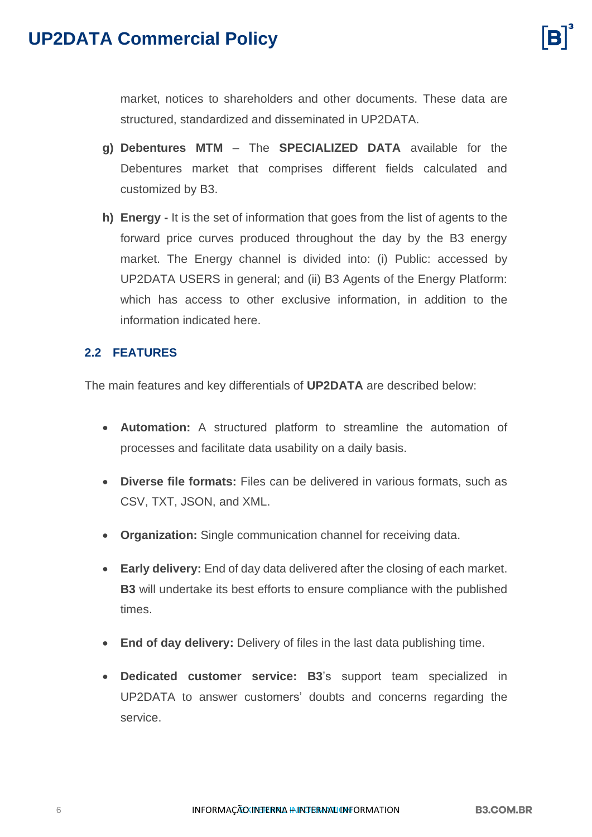market, notices to shareholders and other documents. These data are structured, standardized and disseminated in UP2DATA.

- **g) Debentures MTM**  The **SPECIALIZED DATA** available for the Debentures market that comprises different fields calculated and customized by B3.
- **h) Energy -** It is the set of information that goes from the list of agents to the forward price curves produced throughout the day by the B3 energy market. The Energy channel is divided into: (i) Public: accessed by UP2DATA USERS in general; and (ii) B3 Agents of the Energy Platform: which has access to other exclusive information, in addition to the information indicated here.

#### <span id="page-5-0"></span>**2.2 FEATURES**

The main features and key differentials of **UP2DATA** are described below:

- **Automation:** A structured platform to streamline the automation of processes and facilitate data usability on a daily basis.
- **Diverse file formats:** Files can be delivered in various formats, such as CSV, TXT, JSON, and XML.
- **Organization:** Single communication channel for receiving data.
- **Early delivery:** End of day data delivered after the closing of each market. **B3** will undertake its best efforts to ensure compliance with the published times.
- **End of day delivery:** Delivery of files in the last data publishing time.
- **Dedicated customer service: B3**'s support team specialized in UP2DATA to answer customers' doubts and concerns regarding the service.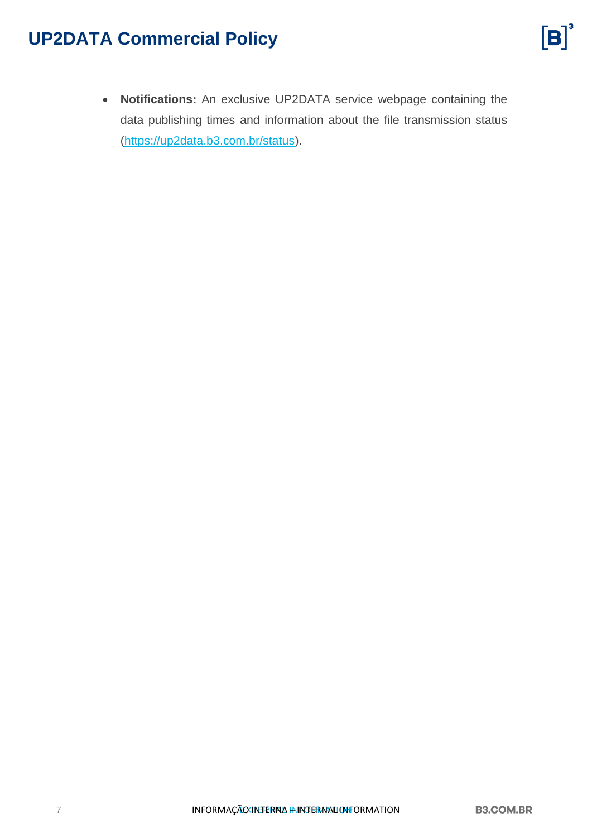• **Notifications:** An exclusive UP2DATA service webpage containing the data publishing times and information about the file transmission status [\(https://up2data.b3.com.br/status\)](https://up2data.b3.com.br/status).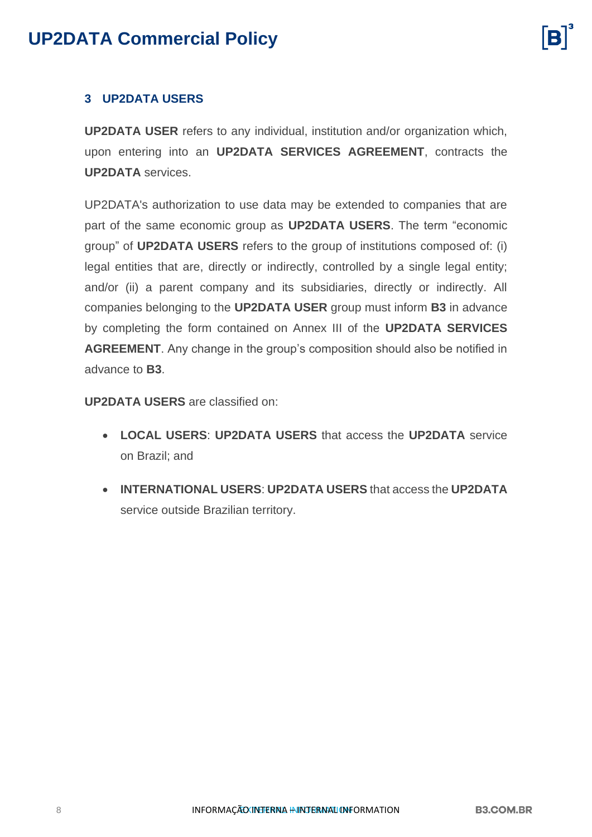### <span id="page-7-0"></span>**3 UP2DATA USERS**

**UP2DATA USER** refers to any individual, institution and/or organization which, upon entering into an **UP2DATA SERVICES AGREEMENT**, contracts the **UP2DATA** services.

UP2DATA's authorization to use data may be extended to companies that are part of the same economic group as **UP2DATA USERS**. The term "economic group" of **UP2DATA USERS** refers to the group of institutions composed of: (i) legal entities that are, directly or indirectly, controlled by a single legal entity; and/or (ii) a parent company and its subsidiaries, directly or indirectly. All companies belonging to the **UP2DATA USER** group must inform **B3** in advance by completing the form contained on Annex III of the **UP2DATA SERVICES AGREEMENT**. Any change in the group's composition should also be notified in advance to **B3**.

**UP2DATA USERS** are classified on:

- **LOCAL USERS**: **UP2DATA USERS** that access the **UP2DATA** service on Brazil; and
- **INTERNATIONAL USERS**: **UP2DATA USERS** that access the **UP2DATA** service outside Brazilian territory.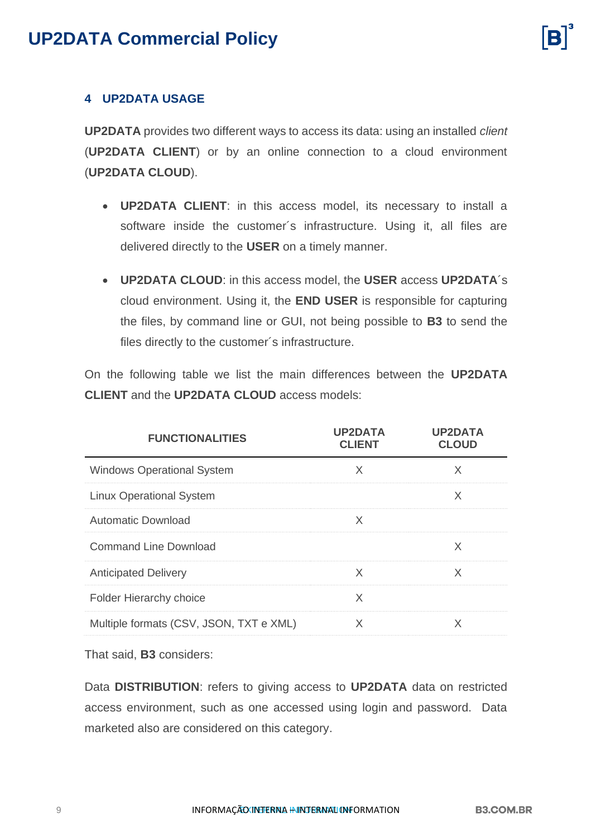### <span id="page-8-0"></span>**4 UP2DATA USAGE**

**UP2DATA** provides two different ways to access its data: using an installed *client* (**UP2DATA CLIENT**) or by an online connection to a cloud environment (**UP2DATA CLOUD**).

- **UP2DATA CLIENT**: in this access model, its necessary to install a software inside the customer's infrastructure. Using it, all files are delivered directly to the **USER** on a timely manner.
- **UP2DATA CLOUD**: in this access model, the **USER** access **UP2DATA**´s cloud environment. Using it, the **END USER** is responsible for capturing the files, by command line or GUI, not being possible to **B3** to send the files directly to the customer´s infrastructure.

On the following table we list the main differences between the **UP2DATA CLIENT** and the **UP2DATA CLOUD** access models:

| <b>FUNCTIONALITIES</b>                  | <b>UP2DATA</b><br><b>CLIENT</b> | <b>UP2DATA</b><br><b>CLOUD</b> |
|-----------------------------------------|---------------------------------|--------------------------------|
| <b>Windows Operational System</b>       | X                               | X                              |
| <b>Linux Operational System</b>         |                                 | X                              |
| <b>Automatic Download</b>               | X                               |                                |
| Command Line Download                   |                                 | X                              |
| <b>Anticipated Delivery</b>             | X                               | X                              |
| <b>Folder Hierarchy choice</b>          | X                               |                                |
| Multiple formats (CSV, JSON, TXT e XML) | X                               | X                              |

That said, **B3** considers:

Data **DISTRIBUTION**: refers to giving access to **UP2DATA** data on restricted access environment, such as one accessed using login and password. Data marketed also are considered on this category.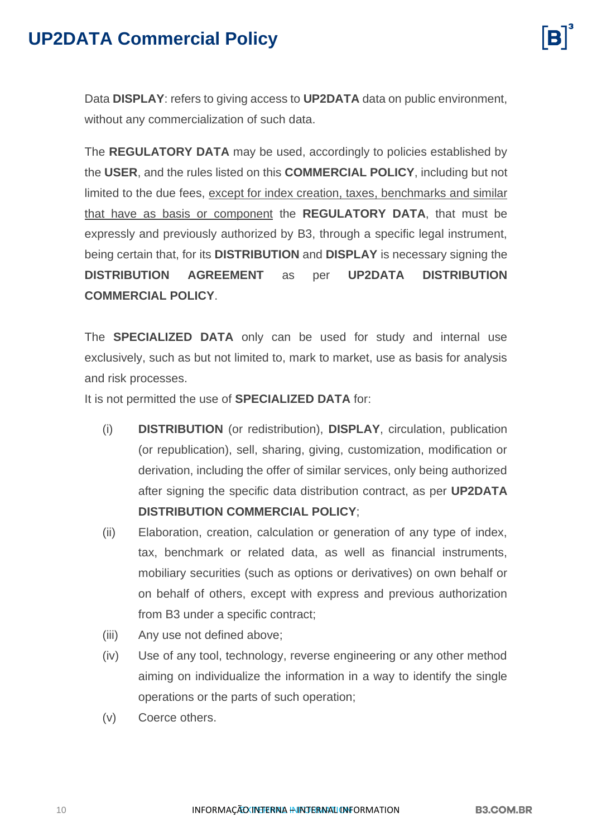Data **DISPLAY**: refers to giving access to **UP2DATA** data on public environment, without any commercialization of such data.

The **REGULATORY DATA** may be used, accordingly to policies established by the **USER**, and the rules listed on this **COMMERCIAL POLICY**, including but not limited to the due fees, except for index creation, taxes, benchmarks and similar that have as basis or component the **REGULATORY DATA**, that must be expressly and previously authorized by B3, through a specific legal instrument, being certain that, for its **DISTRIBUTION** and **DISPLAY** is necessary signing the **DISTRIBUTION AGREEMENT** as per **UP2DATA DISTRIBUTION COMMERCIAL POLICY**.

The **SPECIALIZED DATA** only can be used for study and internal use exclusively, such as but not limited to, mark to market, use as basis for analysis and risk processes.

It is not permitted the use of **SPECIALIZED DATA** for:

- (i) **DISTRIBUTION** (or redistribution), **DISPLAY**, circulation, publication (or republication), sell, sharing, giving, customization, modification or derivation, including the offer of similar services, only being authorized after signing the specific data distribution contract, as per **UP2DATA DISTRIBUTION COMMERCIAL POLICY**;
- (ii) Elaboration, creation, calculation or generation of any type of index, tax, benchmark or related data, as well as financial instruments, mobiliary securities (such as options or derivatives) on own behalf or on behalf of others, except with express and previous authorization from B3 under a specific contract;
- (iii) Any use not defined above;
- (iv) Use of any tool, technology, reverse engineering or any other method aiming on individualize the information in a way to identify the single operations or the parts of such operation;
- (v) Coerce others.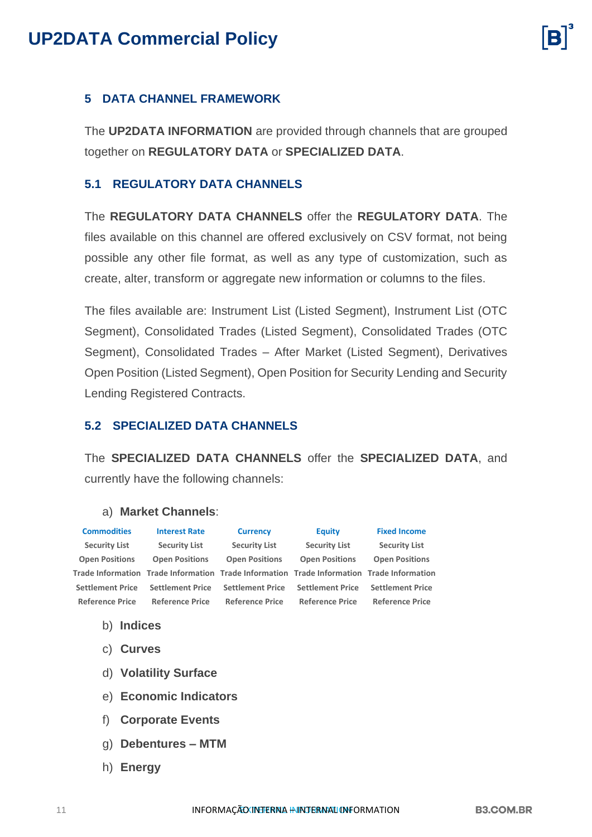

#### <span id="page-10-0"></span>**5 DATA CHANNEL FRAMEWORK**

The **UP2DATA INFORMATION** are provided through channels that are grouped together on **REGULATORY DATA** or **SPECIALIZED DATA**.

#### <span id="page-10-1"></span>**5.1 REGULATORY DATA CHANNELS**

The **REGULATORY DATA CHANNELS** offer the **REGULATORY DATA**. The files available on this channel are offered exclusively on CSV format, not being possible any other file format, as well as any type of customization, such as create, alter, transform or aggregate new information or columns to the files.

The files available are: Instrument List (Listed Segment), Instrument List (OTC Segment), Consolidated Trades (Listed Segment), Consolidated Trades (OTC Segment), Consolidated Trades – After Market (Listed Segment), Derivatives Open Position (Listed Segment), Open Position for Security Lending and Security Lending Registered Contracts.

#### <span id="page-10-2"></span>**5.2 SPECIALIZED DATA CHANNELS**

The **SPECIALIZED DATA CHANNELS** offer the **SPECIALIZED DATA**, and currently have the following channels:

#### a) **Market Channels**:

| <b>Commodities</b>      | <b>Interest Rate</b>                                                                      | <b>Currency</b>         | <b>Equity</b>           | <b>Fixed Income</b>     |
|-------------------------|-------------------------------------------------------------------------------------------|-------------------------|-------------------------|-------------------------|
| <b>Security List</b>    | <b>Security List</b>                                                                      | <b>Security List</b>    | <b>Security List</b>    | <b>Security List</b>    |
| <b>Open Positions</b>   | <b>Open Positions</b>                                                                     | <b>Open Positions</b>   | <b>Open Positions</b>   | <b>Open Positions</b>   |
|                         | Trade Information Trade Information Trade Information Trade Information Trade Information |                         |                         |                         |
| <b>Settlement Price</b> | <b>Settlement Price</b>                                                                   | <b>Settlement Price</b> | <b>Settlement Price</b> | <b>Settlement Price</b> |
| <b>Reference Price</b>  | <b>Reference Price</b>                                                                    | <b>Reference Price</b>  | <b>Reference Price</b>  | <b>Reference Price</b>  |
|                         |                                                                                           |                         |                         |                         |

- b) **Indices**
- c) **Curves**
- d) **Volatility Surface**
- e) **Economic Indicators**
- f) **Corporate Events**
- g) **Debentures – MTM**
- h) **Energy**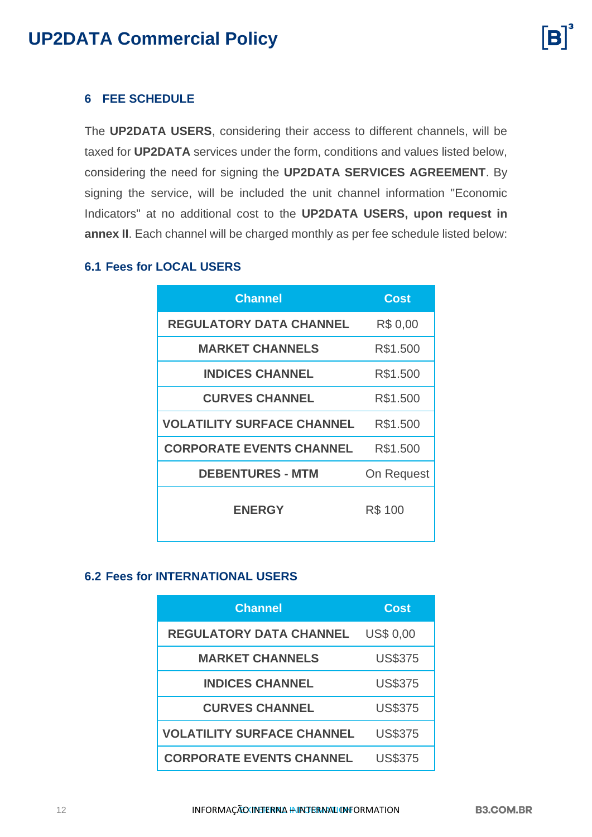

### <span id="page-11-0"></span>**6 FEE SCHEDULE**

The **UP2DATA USERS**, considering their access to different channels, will be taxed for **UP2DATA** services under the form, conditions and values listed below, considering the need for signing the **UP2DATA SERVICES AGREEMENT**. By signing the service, will be included the unit channel information "Economic Indicators" at no additional cost to the **UP2DATA USERS, upon request in annex II**. Each channel will be charged monthly as per fee schedule listed below:

#### <span id="page-11-1"></span>**6.1 Fees for LOCAL USERS**

| <b>Channel</b>                    | Cost       |
|-----------------------------------|------------|
| <b>REGULATORY DATA CHANNEL</b>    | R\$ 0,00   |
| <b>MARKET CHANNELS</b>            | R\$1.500   |
| <b>INDICES CHANNEL</b>            | R\$1.500   |
| <b>CURVES CHANNEL</b>             | R\$1.500   |
| <b>VOLATILITY SURFACE CHANNEL</b> | R\$1.500   |
| <b>CORPORATE EVENTS CHANNEL</b>   | R\$1.500   |
| <b>DEBENTURES - MTM</b>           | On Request |
| <b>ENERGY</b>                     | R\$ 100    |

#### <span id="page-11-2"></span>**6.2 Fees for INTERNATIONAL USERS**

| <b>Channel</b>                    | Cost             |
|-----------------------------------|------------------|
| <b>REGULATORY DATA CHANNEL</b>    | <b>US\$ 0,00</b> |
| <b>MARKET CHANNELS</b>            | <b>US\$375</b>   |
| <b>INDICES CHANNEL</b>            | <b>US\$375</b>   |
| <b>CURVES CHANNEL</b>             | <b>US\$375</b>   |
| <b>VOLATILITY SURFACE CHANNEL</b> | <b>US\$375</b>   |
| <b>CORPORATE EVENTS CHANNEL</b>   | <b>US\$375</b>   |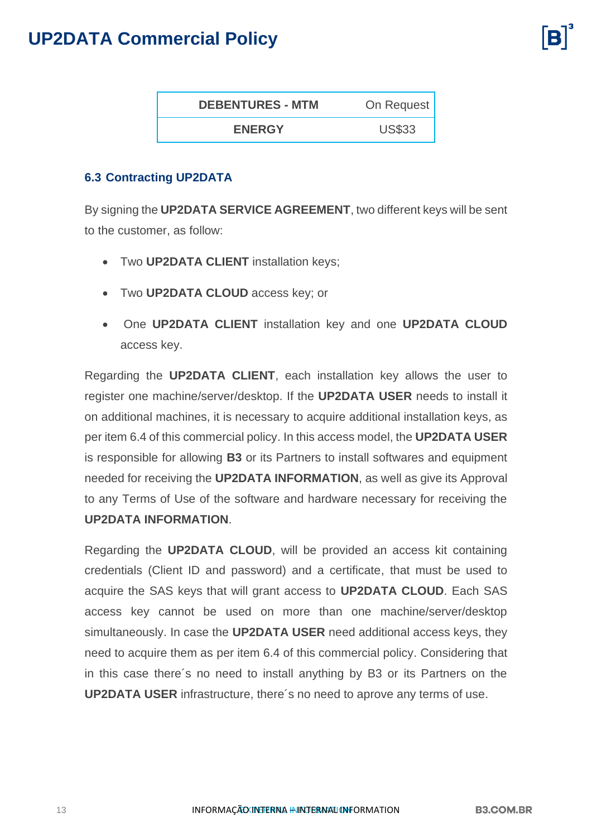| <b>DEBENTURES - MTM</b> | On Request    |
|-------------------------|---------------|
| <b>ENERGY</b>           | <b>US\$33</b> |

### <span id="page-12-0"></span>**6.3 Contracting UP2DATA**

By signing the **UP2DATA SERVICE AGREEMENT**, two different keys will be sent to the customer, as follow:

- Two **UP2DATA CLIENT** installation keys;
- Two **UP2DATA CLOUD** access key; or
- One **UP2DATA CLIENT** installation key and one **UP2DATA CLOUD** access key.

Regarding the **UP2DATA CLIENT**, each installation key allows the user to register one machine/server/desktop. If the **UP2DATA USER** needs to install it on additional machines, it is necessary to acquire additional installation keys, as per item 6.4 of this commercial policy. In this access model, the **UP2DATA USER** is responsible for allowing **B3** or its Partners to install softwares and equipment needed for receiving the **UP2DATA INFORMATION**, as well as give its Approval to any Terms of Use of the software and hardware necessary for receiving the **UP2DATA INFORMATION**.

Regarding the **UP2DATA CLOUD**, will be provided an access kit containing credentials (Client ID and password) and a certificate, that must be used to acquire the SAS keys that will grant access to **UP2DATA CLOUD**. Each SAS access key cannot be used on more than one machine/server/desktop simultaneously. In case the **UP2DATA USER** need additional access keys, they need to acquire them as per item 6.4 of this commercial policy. Considering that in this case there´s no need to install anything by B3 or its Partners on the **UP2DATA USER** infrastructure, there´s no need to aprove any terms of use.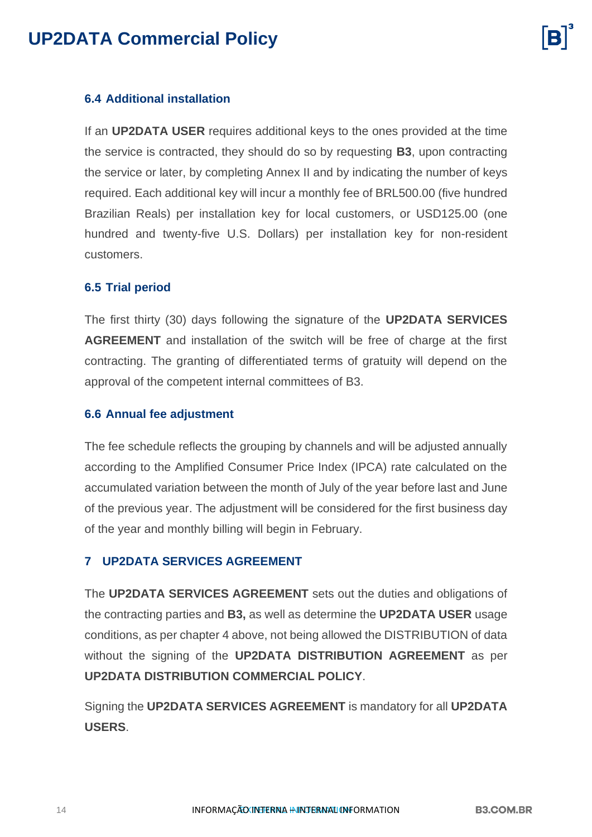### <span id="page-13-0"></span>**6.4 Additional installation**

If an **UP2DATA USER** requires additional keys to the ones provided at the time the service is contracted, they should do so by requesting **B3**, upon contracting the service or later, by completing Annex II and by indicating the number of keys required. Each additional key will incur a monthly fee of BRL500.00 (five hundred Brazilian Reals) per installation key for local customers, or USD125.00 (one hundred and twenty-five U.S. Dollars) per installation key for non-resident customers.

#### <span id="page-13-1"></span>**6.5 Trial period**

The first thirty (30) days following the signature of the **UP2DATA SERVICES AGREEMENT** and installation of the switch will be free of charge at the first contracting. The granting of differentiated terms of gratuity will depend on the approval of the competent internal committees of B3.

#### <span id="page-13-2"></span>**6.6 Annual fee adjustment**

The fee schedule reflects the grouping by channels and will be adjusted annually according to the Amplified Consumer Price Index (IPCA) rate calculated on the accumulated variation between the month of July of the year before last and June of the previous year. The adjustment will be considered for the first business day of the year and monthly billing will begin in February.

#### <span id="page-13-3"></span>**7 UP2DATA SERVICES AGREEMENT**

The **UP2DATA SERVICES AGREEMENT** sets out the duties and obligations of the contracting parties and **B3,** as well as determine the **UP2DATA USER** usage conditions, as per chapter 4 above, not being allowed the DISTRIBUTION of data without the signing of the **UP2DATA DISTRIBUTION AGREEMENT** as per **UP2DATA DISTRIBUTION COMMERCIAL POLICY**.

Signing the **UP2DATA SERVICES AGREEMENT** is mandatory for all **UP2DATA USERS**.